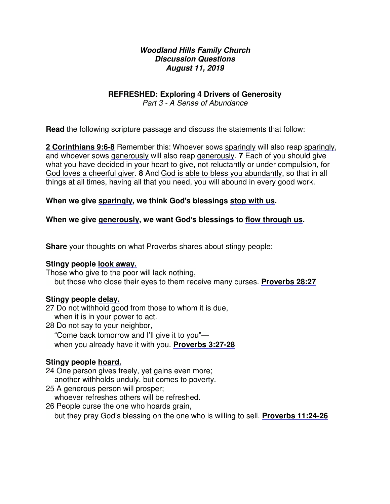### **Woodland Hills Family Church Discussion Questions August 11, 2019**

# **REFRESHED: Exploring 4 Drivers of Generosity**

Part 3 - A Sense of Abundance

**Read** the following scripture passage and discuss the statements that follow:

**2 Corinthians 9:6-8** Remember this: Whoever sows sparingly will also reap sparingly, and whoever sows generously will also reap generously. **7** Each of you should give what you have decided in your heart to give, not reluctantly or under compulsion, for God loves a cheerful giver. **8** And God is able to bless you abundantly, so that in all things at all times, having all that you need, you will abound in every good work.

### **When we give sparingly, we think God**'**s blessings stop with us.**

### **When we give generously, we want God**'**s blessings to flow through us.**

**Share** your thoughts on what Proverbs shares about stingy people:

#### **Stingy people look away.**

Those who give to the poor will lack nothing,

but those who close their eyes to them receive many curses. **Proverbs 28:27**

#### **Stingy people delay.**

27 Do not withhold good from those to whom it is due, when it is in your power to act.

- 28 Do not say to your neighbor,
	- "Come back tomorrow and I'll give it to you"—
	- when you already have it with you. **Proverbs 3:27-28**

# **Stingy people hoard.**

- 24 One person gives freely, yet gains even more;
	- another withholds unduly, but comes to poverty.
- 25 A generous person will prosper;

whoever refreshes others will be refreshed.

26 People curse the one who hoards grain,

but they pray God's blessing on the one who is willing to sell. **Proverbs 11:24-26**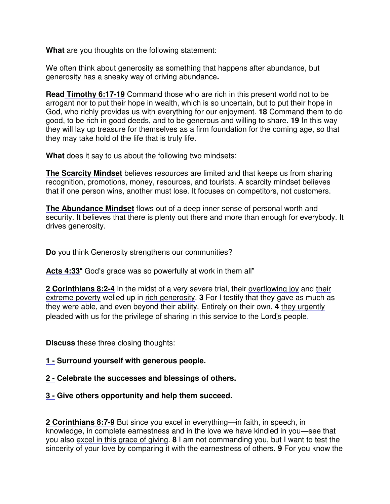**What** are you thoughts on the following statement:

We often think about generosity as something that happens after abundance, but generosity has a sneaky way of driving abundance**.**

**Read Timothy [6:17-19](x-apple-data-detectors://7/)** Command those who are rich in this present world not to be arrogant nor to put their hope in wealth, which is so uncertain, but to put their hope in God, who richly provides us with everything for our enjoyment. **18** Command them to do good, to be rich in good deeds, and to be generous and willing to share. **19** In this way they will lay up treasure for themselves as a firm foundation for the coming age, so that they may take hold of the life that is truly life.

**What** does it say to us about the following two mindsets:

**The Scarcity Mindset** believes resources are limited and that keeps us from sharing recognition, promotions, money, resources, and tourists. A scarcity mindset believes that if one person wins, another must lose. It focuses on competitors, not customers.

**The Abundance Mindset** flows out of a deep inner sense of personal worth and security. It believes that there is plenty out there and more than enough for everybody. It drives generosity.

**Do** you think Generosity strengthens our communities?

**Acts [4:33](x-apple-data-detectors://8/)**" God's grace was so powerfully at work in them all"

2 **Corinthians 8:2-4** In the midst of a very severe trial, their overflowing joy and their extreme poverty welled up in rich generosity. **3** For I testify that they gave as much as they were able, and even beyond their ability. Entirely on their own, **4** they urgently pleaded with us for the privilege of sharing in this service to the Lord's people.

**Discuss** these three closing thoughts:

# **1 - Surround yourself with generous people.**

# **2 - Celebrate the successes and blessings of others.**

# **3 - Give others opportunity and help them succeed.**

**2 Corinthians 8:7-9** But since you excel in everything—in faith, in speech, in knowledge, in complete earnestness and in the love we have kindled in you—see that you also excel in this grace of giving. **8** I am not commanding you, but I want to test the sincerity of your love by comparing it with the earnestness of others. **9** For you know the